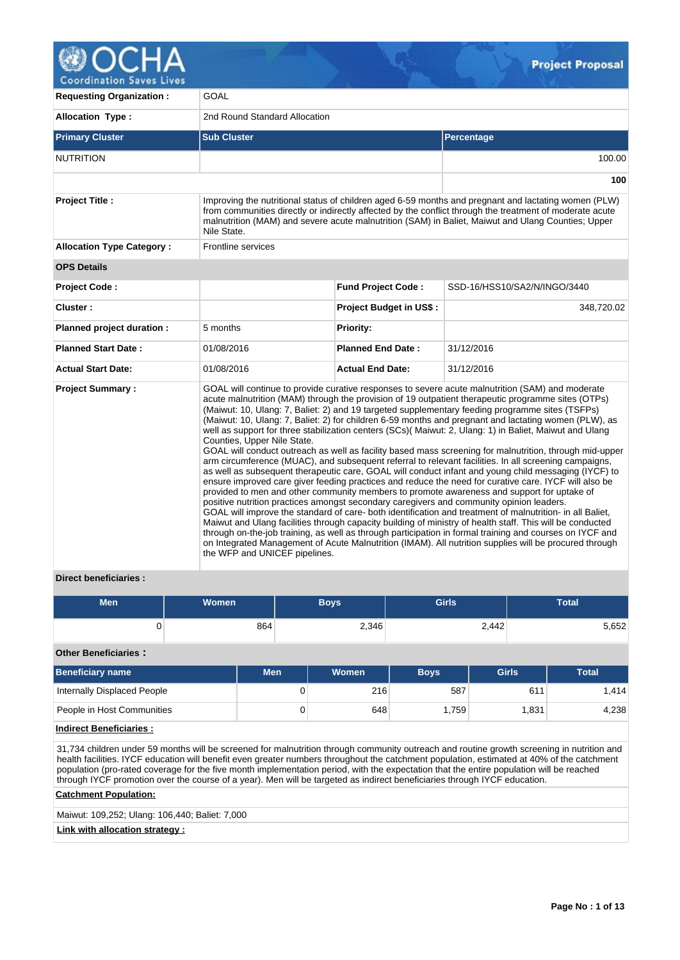

**Coordination Saves Lives** 

| <b>Requesting Organization:</b>  | GOAL                                                                                                                                                     |                                |                                                                                                                                                                                                                                                                                                                                                                                                                                                                                                                                                                                                                                                                                                                                                                                                                                                                                                                                                                                                                                                                                                                                                                                                                                                                                                                                                                                                                                                                                                                 |  |  |  |  |  |
|----------------------------------|----------------------------------------------------------------------------------------------------------------------------------------------------------|--------------------------------|-----------------------------------------------------------------------------------------------------------------------------------------------------------------------------------------------------------------------------------------------------------------------------------------------------------------------------------------------------------------------------------------------------------------------------------------------------------------------------------------------------------------------------------------------------------------------------------------------------------------------------------------------------------------------------------------------------------------------------------------------------------------------------------------------------------------------------------------------------------------------------------------------------------------------------------------------------------------------------------------------------------------------------------------------------------------------------------------------------------------------------------------------------------------------------------------------------------------------------------------------------------------------------------------------------------------------------------------------------------------------------------------------------------------------------------------------------------------------------------------------------------------|--|--|--|--|--|
| <b>Allocation Type:</b>          | 2nd Round Standard Allocation                                                                                                                            |                                |                                                                                                                                                                                                                                                                                                                                                                                                                                                                                                                                                                                                                                                                                                                                                                                                                                                                                                                                                                                                                                                                                                                                                                                                                                                                                                                                                                                                                                                                                                                 |  |  |  |  |  |
| <b>Primary Cluster</b>           | <b>Sub Cluster</b>                                                                                                                                       |                                | Percentage                                                                                                                                                                                                                                                                                                                                                                                                                                                                                                                                                                                                                                                                                                                                                                                                                                                                                                                                                                                                                                                                                                                                                                                                                                                                                                                                                                                                                                                                                                      |  |  |  |  |  |
| <b>NUTRITION</b>                 |                                                                                                                                                          |                                | 100.00                                                                                                                                                                                                                                                                                                                                                                                                                                                                                                                                                                                                                                                                                                                                                                                                                                                                                                                                                                                                                                                                                                                                                                                                                                                                                                                                                                                                                                                                                                          |  |  |  |  |  |
|                                  |                                                                                                                                                          |                                | 100                                                                                                                                                                                                                                                                                                                                                                                                                                                                                                                                                                                                                                                                                                                                                                                                                                                                                                                                                                                                                                                                                                                                                                                                                                                                                                                                                                                                                                                                                                             |  |  |  |  |  |
| <b>Project Title:</b>            | Nile State.                                                                                                                                              |                                | Improving the nutritional status of children aged 6-59 months and pregnant and lactating women (PLW)<br>from communities directly or indirectly affected by the conflict through the treatment of moderate acute<br>malnutrition (MAM) and severe acute malnutrition (SAM) in Baliet, Maiwut and Ulang Counties; Upper                                                                                                                                                                                                                                                                                                                                                                                                                                                                                                                                                                                                                                                                                                                                                                                                                                                                                                                                                                                                                                                                                                                                                                                          |  |  |  |  |  |
| <b>Allocation Type Category:</b> | <b>Frontline services</b>                                                                                                                                |                                |                                                                                                                                                                                                                                                                                                                                                                                                                                                                                                                                                                                                                                                                                                                                                                                                                                                                                                                                                                                                                                                                                                                                                                                                                                                                                                                                                                                                                                                                                                                 |  |  |  |  |  |
| <b>OPS Details</b>               |                                                                                                                                                          |                                |                                                                                                                                                                                                                                                                                                                                                                                                                                                                                                                                                                                                                                                                                                                                                                                                                                                                                                                                                                                                                                                                                                                                                                                                                                                                                                                                                                                                                                                                                                                 |  |  |  |  |  |
| Project Code:                    |                                                                                                                                                          | <b>Fund Project Code:</b>      | SSD-16/HSS10/SA2/N/INGO/3440                                                                                                                                                                                                                                                                                                                                                                                                                                                                                                                                                                                                                                                                                                                                                                                                                                                                                                                                                                                                                                                                                                                                                                                                                                                                                                                                                                                                                                                                                    |  |  |  |  |  |
| Cluster:                         |                                                                                                                                                          | <b>Project Budget in US\$:</b> | 348,720.02                                                                                                                                                                                                                                                                                                                                                                                                                                                                                                                                                                                                                                                                                                                                                                                                                                                                                                                                                                                                                                                                                                                                                                                                                                                                                                                                                                                                                                                                                                      |  |  |  |  |  |
| Planned project duration :       | 5 months                                                                                                                                                 | <b>Priority:</b>               |                                                                                                                                                                                                                                                                                                                                                                                                                                                                                                                                                                                                                                                                                                                                                                                                                                                                                                                                                                                                                                                                                                                                                                                                                                                                                                                                                                                                                                                                                                                 |  |  |  |  |  |
| <b>Planned Start Date:</b>       | 01/08/2016                                                                                                                                               | <b>Planned End Date:</b>       | 31/12/2016                                                                                                                                                                                                                                                                                                                                                                                                                                                                                                                                                                                                                                                                                                                                                                                                                                                                                                                                                                                                                                                                                                                                                                                                                                                                                                                                                                                                                                                                                                      |  |  |  |  |  |
| <b>Actual Start Date:</b>        | 01/08/2016                                                                                                                                               | <b>Actual End Date:</b>        | 31/12/2016                                                                                                                                                                                                                                                                                                                                                                                                                                                                                                                                                                                                                                                                                                                                                                                                                                                                                                                                                                                                                                                                                                                                                                                                                                                                                                                                                                                                                                                                                                      |  |  |  |  |  |
| <b>Project Summary:</b>          | Counties, Upper Nile State.<br>positive nutrition practices amongst secondary caregivers and community opinion leaders.<br>the WFP and UNICEF pipelines. |                                | GOAL will continue to provide curative responses to severe acute malnutrition (SAM) and moderate<br>acute malnutrition (MAM) through the provision of 19 outpatient therapeutic programme sites (OTPs)<br>(Maiwut: 10, Ulang: 7, Baliet: 2) and 19 targeted supplementary feeding programme sites (TSFPs)<br>(Maiwut: 10, Ulang: 7, Baliet: 2) for children 6-59 months and pregnant and lactating women (PLW), as<br>well as support for three stabilization centers (SCs)(Maiwut: 2, Ulang: 1) in Baliet, Maiwut and Ulang<br>GOAL will conduct outreach as well as facility based mass screening for malnutrition, through mid-upper<br>arm circumference (MUAC), and subsequent referral to relevant facilities. In all screening campaigns,<br>as well as subsequent therapeutic care, GOAL will conduct infant and young child messaging (IYCF) to<br>ensure improved care giver feeding practices and reduce the need for curative care. IYCF will also be<br>provided to men and other community members to promote awareness and support for uptake of<br>GOAL will improve the standard of care- both identification and treatment of malnutrition- in all Baliet,<br>Maiwut and Ulang facilities through capacity building of ministry of health staff. This will be conducted<br>through on-the-job training, as well as through participation in formal training and courses on IYCF and<br>on Integrated Management of Acute Malnutrition (IMAM). All nutrition supplies will be procured through |  |  |  |  |  |

#### **Direct beneficiaries :**

| <b>Men</b> | <b>Women</b> | Boys' | <b>Girls</b> | Total |
|------------|--------------|-------|--------------|-------|
|            | 864          | 2,346 | 2,442        | 5,652 |

**Other Beneficiaries :**

| <b>Beneficiary name</b>     | Men | <b>Women</b> | <b>Boys</b> | <b>Girls</b> | <b>Total</b> |
|-----------------------------|-----|--------------|-------------|--------------|--------------|
| Internally Displaced People |     | 216          | 587         | 611          | .414         |
| People in Host Communities  | U   | 648          | .759        | 1.831        | 4,238        |

### **Indirect Beneficiaries :**

31,734 children under 59 months will be screened for malnutrition through community outreach and routine growth screening in nutrition and health facilities. IYCF education will benefit even greater numbers throughout the catchment population, estimated at 40% of the catchment population (pro-rated coverage for the five month implementation period, with the expectation that the entire population will be reached through IYCF promotion over the course of a year). Men will be targeted as indirect beneficiaries through IYCF education.

#### **Catchment Population:**

Maiwut: 109,252; Ulang: 106,440; Baliet: 7,000

**Link with allocation strategy :**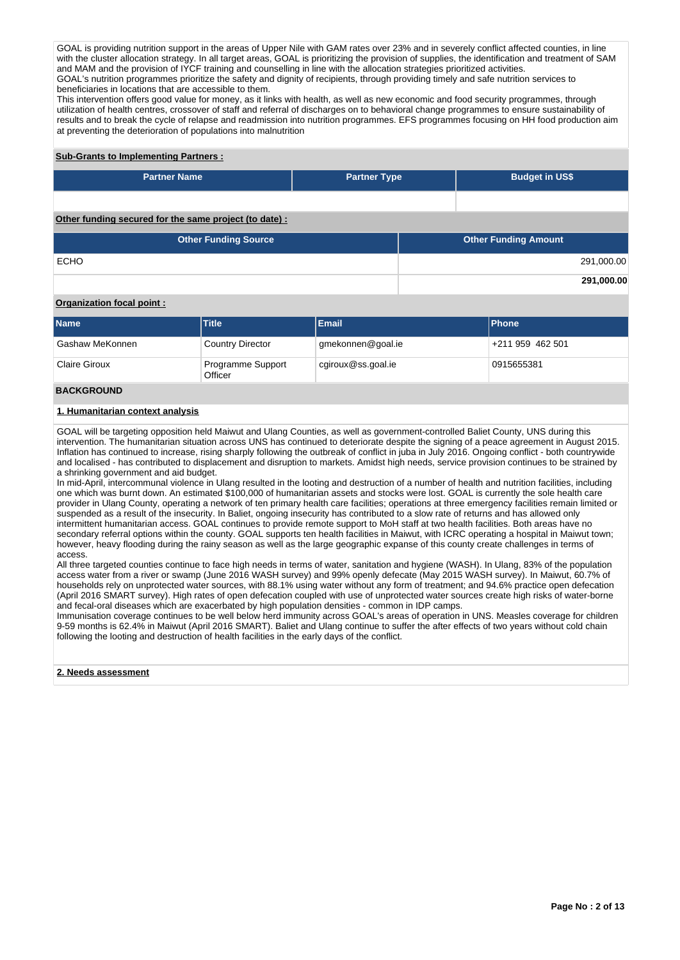GOAL is providing nutrition support in the areas of Upper Nile with GAM rates over 23% and in severely conflict affected counties, in line with the cluster allocation strategy. In all target areas, GOAL is prioritizing the provision of supplies, the identification and treatment of SAM and MAM and the provision of IYCF training and counselling in line with the allocation strategies prioritized activities. GOAL's nutrition programmes prioritize the safety and dignity of recipients, through providing timely and safe nutrition services to beneficiaries in locations that are accessible to them.

This intervention offers good value for money, as it links with health, as well as new economic and food security programmes, through utilization of health centres, crossover of staff and referral of discharges on to behavioral change programmes to ensure sustainability of results and to break the cycle of relapse and readmission into nutrition programmes. EFS programmes focusing on HH food production aim at preventing the deterioration of populations into malnutrition

## **Sub-Grants to Implementing Partners :**

| <b>Partner Name</b>                                   | <b>Partner Type</b> | <b>Budget in US\$</b>       |  |  |  |
|-------------------------------------------------------|---------------------|-----------------------------|--|--|--|
|                                                       |                     |                             |  |  |  |
| Other funding secured for the same project (to date): |                     |                             |  |  |  |
| <b>Other Funding Source</b>                           |                     | <b>Other Funding Amount</b> |  |  |  |

ECHO 291,000.00

#### **Organization focal point :**

| Name                 | <b>Title</b>                 | <b>Email</b>       | <b>IPhone</b>    |
|----------------------|------------------------------|--------------------|------------------|
| Gashaw MeKonnen      | <b>Country Director</b>      | gmekonnen@goal.ie  | +211 959 462 501 |
| <b>Claire Giroux</b> | Programme Support<br>Officer | cgiroux@ss.goal.ie | 0915655381       |

#### **BACKGROUND**

#### **1. Humanitarian context analysis**

GOAL will be targeting opposition held Maiwut and Ulang Counties, as well as government-controlled Baliet County, UNS during this intervention. The humanitarian situation across UNS has continued to deteriorate despite the signing of a peace agreement in August 2015. Inflation has continued to increase, rising sharply following the outbreak of conflict in juba in July 2016. Ongoing conflict - both countrywide and localised - has contributed to displacement and disruption to markets. Amidst high needs, service provision continues to be strained by a shrinking government and aid budget.

In mid-April, intercommunal violence in Ulang resulted in the looting and destruction of a number of health and nutrition facilities, including one which was burnt down. An estimated \$100,000 of humanitarian assets and stocks were lost. GOAL is currently the sole health care provider in Ulang County, operating a network of ten primary health care facilities; operations at three emergency facilities remain limited or suspended as a result of the insecurity. In Baliet, ongoing insecurity has contributed to a slow rate of returns and has allowed only intermittent humanitarian access. GOAL continues to provide remote support to MoH staff at two health facilities. Both areas have no secondary referral options within the county. GOAL supports ten health facilities in Maiwut, with ICRC operating a hospital in Maiwut town; however, heavy flooding during the rainy season as well as the large geographic expanse of this county create challenges in terms of access.

All three targeted counties continue to face high needs in terms of water, sanitation and hygiene (WASH). In Ulang, 83% of the population access water from a river or swamp (June 2016 WASH survey) and 99% openly defecate (May 2015 WASH survey). In Maiwut, 60.7% of households rely on unprotected water sources, with 88.1% using water without any form of treatment; and 94.6% practice open defecation (April 2016 SMART survey). High rates of open defecation coupled with use of unprotected water sources create high risks of water-borne and fecal-oral diseases which are exacerbated by high population densities - common in IDP camps.

Immunisation coverage continues to be well below herd immunity across GOAL's areas of operation in UNS. Measles coverage for children 9-59 months is 62.4% in Maiwut (April 2016 SMART). Baliet and Ulang continue to suffer the after effects of two years without cold chain following the looting and destruction of health facilities in the early days of the conflict.

#### **2. Needs assessment**

**291,000.00**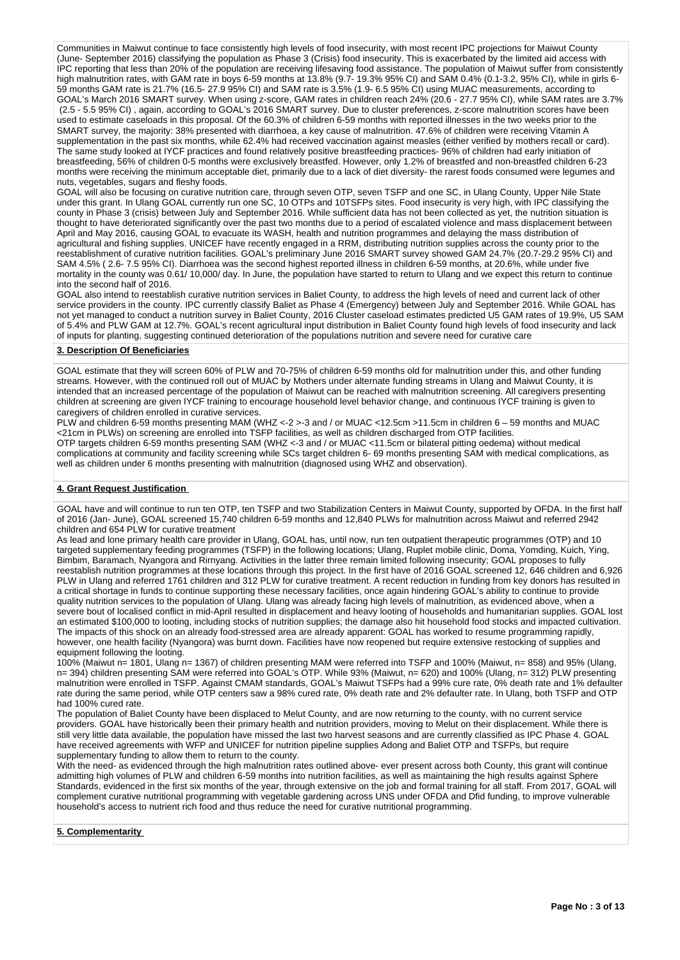Communities in Maiwut continue to face consistently high levels of food insecurity, with most recent IPC projections for Maiwut County (June- September 2016) classifying the population as Phase 3 (Crisis) food insecurity. This is exacerbated by the limited aid access with IPC reporting that less than 20% of the population are receiving lifesaving food assistance. The population of Maiwut suffer from consistently high malnutrition rates, with GAM rate in boys 6-59 months at 13.8% (9.7- 19.3% 95% CI) and SAM 0.4% (0.1-3.2, 95% CI), while in girls 6- 59 months GAM rate is 21.7% (16.5- 27.9 95% CI) and SAM rate is 3.5% (1.9- 6.5 95% CI) using MUAC measurements, according to GOAL's March 2016 SMART survey. When using z-score, GAM rates in children reach 24% (20.6 - 27.7 95% CI), while SAM rates are 3.7% (2.5 - 5.5 95% CI) , again, according to GOAL's 2016 SMART survey. Due to cluster preferences, z-score malnutrition scores have been used to estimate caseloads in this proposal. Of the 60.3% of children 6-59 months with reported illnesses in the two weeks prior to the SMART survey, the majority: 38% presented with diarrhoea, a key cause of malnutrition. 47.6% of children were receiving Vitamin A supplementation in the past six months, while 62.4% had received vaccination against measles (either verified by mothers recall or card). The same study looked at IYCF practices and found relatively positive breastfeeding practices- 96% of children had early initiation of breastfeeding, 56% of children 0-5 months were exclusively breastfed. However, only 1.2% of breastfed and non-breastfed children 6-23 months were receiving the minimum acceptable diet, primarily due to a lack of diet diversity- the rarest foods consumed were legumes and nuts, vegetables, sugars and fleshy foods.

GOAL will also be focusing on curative nutrition care, through seven OTP, seven TSFP and one SC, in Ulang County, Upper Nile State under this grant. In Ulang GOAL currently run one SC, 10 OTPs and 10TSFPs sites. Food insecurity is very high, with IPC classifying the county in Phase 3 (crisis) between July and September 2016. While sufficient data has not been collected as yet, the nutrition situation is thought to have deteriorated significantly over the past two months due to a period of escalated violence and mass displacement between April and May 2016, causing GOAL to evacuate its WASH, health and nutrition programmes and delaying the mass distribution of agricultural and fishing supplies. UNICEF have recently engaged in a RRM, distributing nutrition supplies across the county prior to the reestablishment of curative nutrition facilities. GOAL's preliminary June 2016 SMART survey showed GAM 24.7% (20.7-29.2 95% CI) and SAM 4.5% ( 2.6- 7.5 95% CI). Diarrhoea was the second highest reported illness in children 6-59 months, at 20.6%, while under five mortality in the county was 0.61/ 10,000/ day. In June, the population have started to return to Ulang and we expect this return to continue into the second half of 2016.

GOAL also intend to reestablish curative nutrition services in Baliet County, to address the high levels of need and current lack of other service providers in the county. IPC currently classify Baliet as Phase 4 (Emergency) between July and September 2016. While GOAL has not yet managed to conduct a nutrition survey in Baliet County, 2016 Cluster caseload estimates predicted U5 GAM rates of 19.9%, U5 SAM of 5.4% and PLW GAM at 12.7%. GOAL's recent agricultural input distribution in Baliet County found high levels of food insecurity and lack of inputs for planting, suggesting continued deterioration of the populations nutrition and severe need for curative care

#### **3. Description Of Beneficiaries**

GOAL estimate that they will screen 60% of PLW and 70-75% of children 6-59 months old for malnutrition under this, and other funding streams. However, with the continued roll out of MUAC by Mothers under alternate funding streams in Ulang and Maiwut County, it is intended that an increased percentage of the population of Maiwut can be reached with malnutrition screening. All caregivers presenting children at screening are given IYCF training to encourage household level behavior change, and continuous IYCF training is given to caregivers of children enrolled in curative services.

PLW and children 6-59 months presenting MAM (WHZ <-2 >-3 and / or MUAC <12.5cm >11.5cm in children 6 – 59 months and MUAC <21cm in PLWs) on screening are enrolled into TSFP facilities, as well as children discharged from OTP facilities.

OTP targets children 6-59 months presenting SAM (WHZ <-3 and / or MUAC <11.5cm or bilateral pitting oedema) without medical complications at community and facility screening while SCs target children 6- 69 months presenting SAM with medical complications, as well as children under 6 months presenting with malnutrition (diagnosed using WHZ and observation).

#### **4. Grant Request Justification**

GOAL have and will continue to run ten OTP, ten TSFP and two Stabilization Centers in Maiwut County, supported by OFDA. In the first half of 2016 (Jan- June), GOAL screened 15,740 children 6-59 months and 12,840 PLWs for malnutrition across Maiwut and referred 2942 children and 654 PLW for curative treatment

As lead and lone primary health care provider in Ulang, GOAL has, until now, run ten outpatient therapeutic programmes (OTP) and 10 targeted supplementary feeding programmes (TSFP) in the following locations; Ulang, Ruplet mobile clinic, Doma, Yomding, Kuich, Ying, Bimbim, Baramach, Nyangora and Rirnyang. Activities in the latter three remain limited following insecurity; GOAL proposes to fully reestablish nutrition programmes at these locations through this project. In the first have of 2016 GOAL screened 12, 646 children and 6,926 PLW in Ulang and referred 1761 children and 312 PLW for curative treatment. A recent reduction in funding from key donors has resulted in a critical shortage in funds to continue supporting these necessary facilities, once again hindering GOAL's ability to continue to provide quality nutrition services to the population of Ulang. Ulang was already facing high levels of malnutrition, as evidenced above, when a severe bout of localised conflict in mid-April resulted in displacement and heavy looting of households and humanitarian supplies. GOAL lost an estimated \$100,000 to looting, including stocks of nutrition supplies; the damage also hit household food stocks and impacted cultivation. The impacts of this shock on an already food-stressed area are already apparent: GOAL has worked to resume programming rapidly, however, one health facility (Nyangora) was burnt down. Facilities have now reopened but require extensive restocking of supplies and equipment following the looting.

100% (Maiwut n= 1801, Ulang n= 1367) of children presenting MAM were referred into TSFP and 100% (Maiwut, n= 858) and 95% (Ulang, n= 394) children presenting SAM were referred into GOAL's OTP. While 93% (Maiwut, n= 620) and 100% (Ulang, n= 312) PLW presenting malnutrition were enrolled in TSFP. Against CMAM standards, GOAL's Maiwut TSFPs had a 99% cure rate, 0% death rate and 1% defaulter rate during the same period, while OTP centers saw a 98% cured rate, 0% death rate and 2% defaulter rate. In Ulang, both TSFP and OTP had 100% cured rate.

The population of Baliet County have been displaced to Melut County, and are now returning to the county, with no current service providers. GOAL have historically been their primary health and nutrition providers, moving to Melut on their displacement. While there is still very little data available, the population have missed the last two harvest seasons and are currently classified as IPC Phase 4. GOAL have received agreements with WFP and UNICEF for nutrition pipeline supplies Adong and Baliet OTP and TSFPs, but require supplementary funding to allow them to return to the county.

With the need- as evidenced through the high malnutrition rates outlined above- ever present across both County, this grant will continue admitting high volumes of PLW and children 6-59 months into nutrition facilities, as well as maintaining the high results against Sphere Standards, evidenced in the first six months of the year, through extensive on the job and formal training for all staff. From 2017, GOAL will complement curative nutritional programming with vegetable gardening across UNS under OFDA and Dfid funding, to improve vulnerable household's access to nutrient rich food and thus reduce the need for curative nutritional programming.

**5. Complementarity**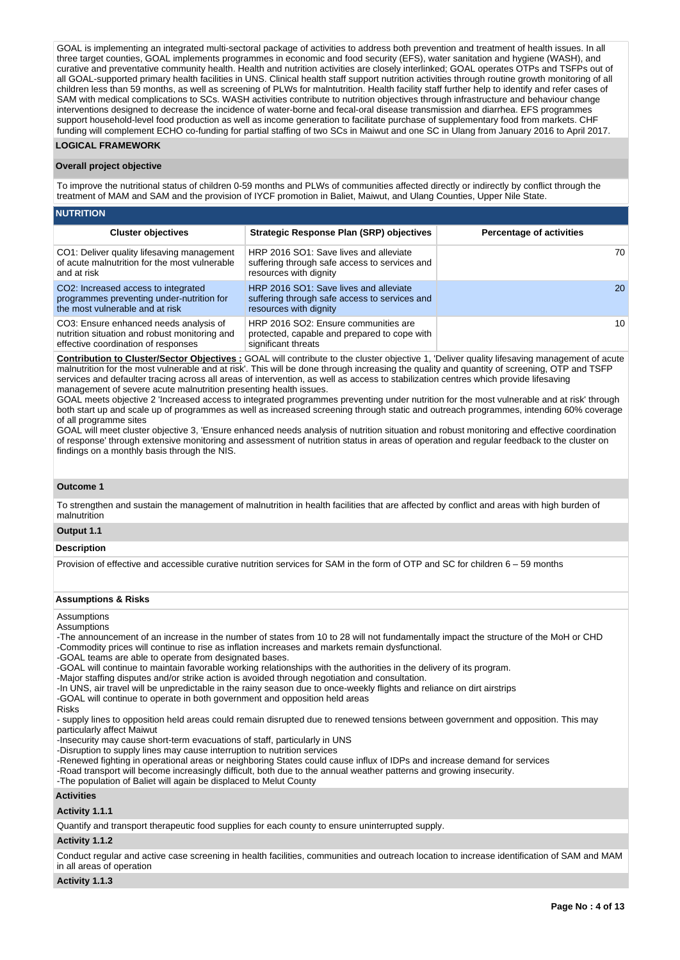GOAL is implementing an integrated multi-sectoral package of activities to address both prevention and treatment of health issues. In all three target counties, GOAL implements programmes in economic and food security (EFS), water sanitation and hygiene (WASH), and curative and preventative community health. Health and nutrition activities are closely interlinked; GOAL operates OTPs and TSFPs out of all GOAL-supported primary health facilities in UNS. Clinical health staff support nutrition activities through routine growth monitoring of all children less than 59 months, as well as screening of PLWs for malntutrition. Health facility staff further help to identify and refer cases of SAM with medical complications to SCs. WASH activities contribute to nutrition objectives through infrastructure and behaviour change interventions designed to decrease the incidence of water-borne and fecal-oral disease transmission and diarrhea. EFS programmes support household-level food production as well as income generation to facilitate purchase of supplementary food from markets. CHF funding will complement ECHO co-funding for partial staffing of two SCs in Maiwut and one SC in Ulang from January 2016 to April 2017.

#### **LOGICAL FRAMEWORK**

#### **Overall project objective**

To improve the nutritional status of children 0-59 months and PLWs of communities affected directly or indirectly by conflict through the treatment of MAM and SAM and the provision of IYCF promotion in Baliet, Maiwut, and Ulang Counties, Upper Nile State.

| <b>NUTRITION</b>                                                                                                               |                                                                                                                   |                                 |  |  |  |  |  |  |  |  |
|--------------------------------------------------------------------------------------------------------------------------------|-------------------------------------------------------------------------------------------------------------------|---------------------------------|--|--|--|--|--|--|--|--|
| <b>Cluster objectives</b>                                                                                                      | <b>Strategic Response Plan (SRP) objectives</b>                                                                   | <b>Percentage of activities</b> |  |  |  |  |  |  |  |  |
| CO1: Deliver quality lifesaving management<br>of acute malnutrition for the most vulnerable<br>and at risk                     | HRP 2016 SO1: Save lives and alleviate<br>suffering through safe access to services and<br>resources with dignity | 70                              |  |  |  |  |  |  |  |  |
| CO2: Increased access to integrated<br>programmes preventing under-nutrition for<br>the most vulnerable and at risk            | HRP 2016 SO1: Save lives and alleviate<br>suffering through safe access to services and<br>resources with dignity | <b>20</b>                       |  |  |  |  |  |  |  |  |
| CO3: Ensure enhanced needs analysis of<br>nutrition situation and robust monitoring and<br>effective coordination of responses | HRP 2016 SO2: Ensure communities are<br>protected, capable and prepared to cope with<br>significant threats       | 10                              |  |  |  |  |  |  |  |  |

**Contribution to Cluster/Sector Objectives :** GOAL will contribute to the cluster objective 1, 'Deliver quality lifesaving management of acute malnutrition for the most vulnerable and at risk'. This will be done through increasing the quality and quantity of screening, OTP and TSFP services and defaulter tracing across all areas of intervention, as well as access to stabilization centres which provide lifesaving management of severe acute malnutrition presenting health issues.

GOAL meets objective 2 'Increased access to integrated programmes preventing under nutrition for the most vulnerable and at risk' through both start up and scale up of programmes as well as increased screening through static and outreach programmes, intending 60% coverage of all programme sites

GOAL will meet cluster objective 3, 'Ensure enhanced needs analysis of nutrition situation and robust monitoring and effective coordination of response' through extensive monitoring and assessment of nutrition status in areas of operation and regular feedback to the cluster on findings on a monthly basis through the NIS.

#### **Outcome 1**

To strengthen and sustain the management of malnutrition in health facilities that are affected by conflict and areas with high burden of malnutrition

#### **Output 1.1**

#### **Description**

Provision of effective and accessible curative nutrition services for SAM in the form of OTP and SC for children 6 – 59 months

#### **Assumptions & Risks**

## Assumptions

#### **Assumptions**

-The announcement of an increase in the number of states from 10 to 28 will not fundamentally impact the structure of the MoH or CHD

-Commodity prices will continue to rise as inflation increases and markets remain dysfunctional.

-GOAL teams are able to operate from designated bases.

-GOAL will continue to maintain favorable working relationships with the authorities in the delivery of its program.

-Major staffing disputes and/or strike action is avoided through negotiation and consultation.

-In UNS, air travel will be unpredictable in the rainy season due to once-weekly flights and reliance on dirt airstrips

-GOAL will continue to operate in both government and opposition held areas

Risks

- supply lines to opposition held areas could remain disrupted due to renewed tensions between government and opposition. This may particularly affect Maiwut

-Insecurity may cause short-term evacuations of staff, particularly in UNS

-Disruption to supply lines may cause interruption to nutrition services

-Renewed fighting in operational areas or neighboring States could cause influx of IDPs and increase demand for services

-Road transport will become increasingly difficult, both due to the annual weather patterns and growing insecurity.

-The population of Baliet will again be displaced to Melut County

#### **Activities**

#### **Activity 1.1.1**

Quantify and transport therapeutic food supplies for each county to ensure uninterrupted supply.

#### **Activity 1.1.2**

Conduct regular and active case screening in health facilities, communities and outreach location to increase identification of SAM and MAM in all areas of operation

#### **Activity 1.1.3**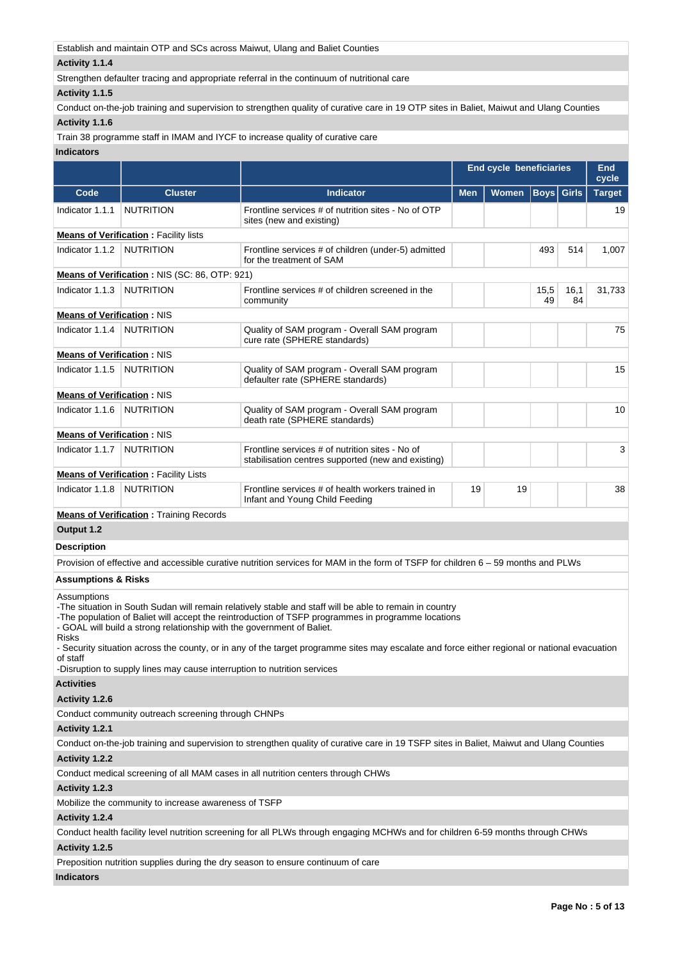Establish and maintain OTP and SCs across Maiwut, Ulang and Baliet Counties

#### **Activity 1.1.4**

Strengthen defaulter tracing and appropriate referral in the continuum of nutritional care

#### **Activity 1.1.5**

Conduct on-the-job training and supervision to strengthen quality of curative care in 19 OTP sites in Baliet, Maiwut and Ulang Counties **Activity 1.1.6** 

Train 38 programme staff in IMAM and IYCF to increase quality of curative care

## **Indicators**

|                                   |                                               |                                                                                                       |            | <b>End cycle beneficiaries</b> |            |            | <b>End</b><br>cycle |
|-----------------------------------|-----------------------------------------------|-------------------------------------------------------------------------------------------------------|------------|--------------------------------|------------|------------|---------------------|
| Code                              | <b>Cluster</b>                                | <b>Indicator</b>                                                                                      | <b>Men</b> | Women   Boys   Girls           |            |            | <b>Target</b>       |
| Indicator 1.1.1                   | <b>NUTRITION</b>                              | Frontline services # of nutrition sites - No of OTP<br>sites (new and existing)                       |            |                                |            |            | 19                  |
|                                   | <b>Means of Verification: Facility lists</b>  |                                                                                                       |            |                                |            |            |                     |
| Indicator 1.1.2 NUTRITION         |                                               | Frontline services # of children (under-5) admitted<br>for the treatment of SAM                       |            |                                | 493        | 514        | 1,007               |
|                                   | Means of Verification: NIS (SC: 86, OTP: 921) |                                                                                                       |            |                                |            |            |                     |
| Indicator 1.1.3                   | NUTRITION                                     | Frontline services # of children screened in the<br>community                                         |            |                                | 15,5<br>49 | 16,1<br>84 | 31,733              |
| <b>Means of Verification: NIS</b> |                                               |                                                                                                       |            |                                |            |            |                     |
| Indicator 1.1.4                   | <b>NUTRITION</b>                              | Quality of SAM program - Overall SAM program<br>cure rate (SPHERE standards)                          |            |                                |            |            | 75                  |
| <b>Means of Verification: NIS</b> |                                               |                                                                                                       |            |                                |            |            |                     |
| Indicator 1.1.5                   | <b>NUTRITION</b>                              | Quality of SAM program - Overall SAM program<br>defaulter rate (SPHERE standards)                     |            |                                |            |            | 15                  |
| <b>Means of Verification: NIS</b> |                                               |                                                                                                       |            |                                |            |            |                     |
| Indicator 1.1.6                   | <b>NUTRITION</b>                              | Quality of SAM program - Overall SAM program<br>death rate (SPHERE standards)                         |            |                                |            |            | 10                  |
| <b>Means of Verification: NIS</b> |                                               |                                                                                                       |            |                                |            |            |                     |
| Indicator 1.1.7                   | <b>NUTRITION</b>                              | Frontline services # of nutrition sites - No of<br>stabilisation centres supported (new and existing) |            |                                |            |            | 3                   |
|                                   | <b>Means of Verification: Facility Lists</b>  |                                                                                                       |            |                                |            |            |                     |
| Indicator 1.1.8                   | <b>NUTRITION</b>                              | Frontline services # of health workers trained in<br>19<br>19<br>Infant and Young Child Feeding       |            |                                |            | 38         |                     |

**Means of Verification : Training Records** 

# **Output 1.2**

## **Description**

Provision of effective and accessible curative nutrition services for MAM in the form of TSFP for children 6 – 59 months and PLWs

#### **Assumptions & Risks**

Assumptions

-The situation in South Sudan will remain relatively stable and staff will be able to remain in country

-The population of Baliet will accept the reintroduction of TSFP programmes in programme locations

- GOAL will build a strong relationship with the government of Baliet.

Risks

- Security situation across the county, or in any of the target programme sites may escalate and force either regional or national evacuation of staff

-Disruption to supply lines may cause interruption to nutrition services

#### **Activities**

#### **Activity 1.2.6**

Conduct community outreach screening through CHNPs

#### **Activity 1.2.1**

Conduct on-the-job training and supervision to strengthen quality of curative care in 19 TSFP sites in Baliet, Maiwut and Ulang Counties

## **Activity 1.2.2**

Conduct medical screening of all MAM cases in all nutrition centers through CHWs

#### **Activity 1.2.3**

Mobilize the community to increase awareness of TSFP

#### **Activity 1.2.4**

Conduct health facility level nutrition screening for all PLWs through engaging MCHWs and for children 6-59 months through CHWs

#### **Activity 1.2.5**

Preposition nutrition supplies during the dry season to ensure continuum of care

#### **Indicators**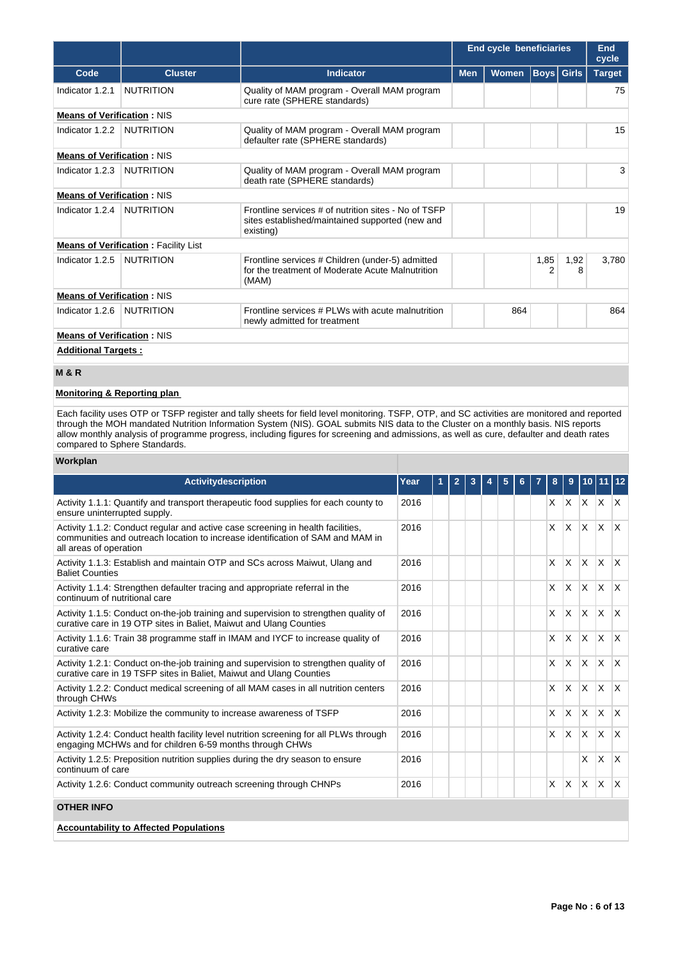|                                   |                                             |                                                                                                                      |            | <b>End cycle beneficiaries</b> |           |           | End<br>cycle  |
|-----------------------------------|---------------------------------------------|----------------------------------------------------------------------------------------------------------------------|------------|--------------------------------|-----------|-----------|---------------|
| Code                              | <b>Cluster</b>                              | Indicator                                                                                                            | <b>Men</b> | Women   Boys   Girls           |           |           | <b>Target</b> |
| Indicator 1.2.1                   | <b>NUTRITION</b>                            | Quality of MAM program - Overall MAM program<br>cure rate (SPHERE standards)                                         |            |                                |           |           | 75            |
| <b>Means of Verification: NIS</b> |                                             |                                                                                                                      |            |                                |           |           |               |
| Indicator 1.2.2                   | <b>NUTRITION</b>                            | Quality of MAM program - Overall MAM program<br>defaulter rate (SPHERE standards)                                    |            |                                |           |           | 15            |
| <b>Means of Verification: NIS</b> |                                             |                                                                                                                      |            |                                |           |           |               |
| Indicator 1.2.3                   | <b>NUTRITION</b>                            | Quality of MAM program - Overall MAM program<br>death rate (SPHERE standards)                                        |            |                                |           |           | 3             |
| <b>Means of Verification: NIS</b> |                                             |                                                                                                                      |            |                                |           |           |               |
| Indicator 1.2.4                   | <b>NUTRITION</b>                            | Frontline services # of nutrition sites - No of TSFP<br>sites established/maintained supported (new and<br>existing) |            |                                |           |           | 19            |
|                                   | <b>Means of Verification: Facility List</b> |                                                                                                                      |            |                                |           |           |               |
| Indicator 1.2.5                   | <b>NUTRITION</b>                            | Frontline services # Children (under-5) admitted<br>for the treatment of Moderate Acute Malnutrition<br>(MAM)        |            |                                | 1,85<br>2 | 1,92<br>8 | 3,780         |
| <b>Means of Verification: NIS</b> |                                             |                                                                                                                      |            |                                |           |           |               |
| Indicator 1.2.6                   | <b>NUTRITION</b>                            | Frontline services # PLWs with acute malnutrition<br>newly admitted for treatment                                    |            | 864                            |           |           | 864           |
| <b>Means of Verification: NIS</b> |                                             |                                                                                                                      |            |                                |           |           |               |
| <b>Additional Targets:</b>        |                                             |                                                                                                                      |            |                                |           |           |               |
| <b>M&amp;R</b>                    |                                             |                                                                                                                      |            |                                |           |           |               |

## **Monitoring & Reporting plan**

Each facility uses OTP or TSFP register and tally sheets for field level monitoring. TSFP, OTP, and SC activities are monitored and reported through the MOH mandated Nutrition Information System (NIS). GOAL submits NIS data to the Cluster on a monthly basis. NIS reports allow monthly analysis of programme progress, including figures for screening and admissions, as well as cure, defaulter and death rates compared to Sphere Standards.

#### **Workplan**

| <b>Activitydescription</b>                                                                                                                                                                  | Year |  |  |  |          |              |                           |                     |              |
|---------------------------------------------------------------------------------------------------------------------------------------------------------------------------------------------|------|--|--|--|----------|--------------|---------------------------|---------------------|--------------|
| Activity 1.1.1: Quantify and transport therapeutic food supplies for each county to<br>ensure uninterrupted supply.                                                                         | 2016 |  |  |  |          |              |                           | $X$ $X$ $X$ $X$ $X$ |              |
| Activity 1.1.2: Conduct regular and active case screening in health facilities,<br>communities and outreach location to increase identification of SAM and MAM in<br>all areas of operation | 2016 |  |  |  | $\times$ | <b>X</b>     | $\mathsf{X}$              | $\mathsf{X}$        | $\mathsf{X}$ |
| Activity 1.1.3: Establish and maintain OTP and SCs across Maiwut, Ulang and<br><b>Baliet Counties</b>                                                                                       | 2016 |  |  |  | X        | <b>X</b>     | $\mathsf{X}$ $\mathsf{X}$ |                     | $\mathsf{X}$ |
| Activity 1.1.4: Strengthen defaulter tracing and appropriate referral in the<br>continuum of nutritional care                                                                               | 2016 |  |  |  | X        | <b>X</b>     | $x \mid x$                |                     | $\mathsf{X}$ |
| Activity 1.1.5: Conduct on-the-job training and supervision to strengthen quality of<br>curative care in 19 OTP sites in Baliet, Maiwut and Ulang Counties                                  | 2016 |  |  |  | X.       |              |                           | $x \mid x \mid x$   | $\mathsf{X}$ |
| Activity 1.1.6: Train 38 programme staff in IMAM and IYCF to increase quality of<br>curative care                                                                                           | 2016 |  |  |  | $\times$ | IX.          | $x \mid x$                |                     | $\mathsf{X}$ |
| Activity 1.2.1: Conduct on-the-job training and supervision to strengthen quality of<br>curative care in 19 TSFP sites in Baliet, Maiwut and Ulang Counties                                 | 2016 |  |  |  | $\times$ | $\mathsf{X}$ |                           | $x \times x$        |              |
| Activity 1.2.2: Conduct medical screening of all MAM cases in all nutrition centers<br>through CHWs                                                                                         | 2016 |  |  |  | X.       | IX.          | $x \mid x$                |                     | $\mathsf{x}$ |
| Activity 1.2.3: Mobilize the community to increase awareness of TSFP                                                                                                                        | 2016 |  |  |  | X.       | ΙX.          | X X                       |                     | $\mathsf{X}$ |
| Activity 1.2.4: Conduct health facility level nutrition screening for all PLWs through<br>engaging MCHWs and for children 6-59 months through CHWs                                          | 2016 |  |  |  |          |              | $x \mid x \mid x \mid x$  |                     | ΙX.          |
| Activity 1.2.5: Preposition nutrition supplies during the dry season to ensure<br>continuum of care                                                                                         | 2016 |  |  |  |          |              | $\times$                  | ΙX.                 | $\mathsf{X}$ |
| Activity 1.2.6: Conduct community outreach screening through CHNPs                                                                                                                          | 2016 |  |  |  | X        | X.           | <b>X</b>                  | ΙX.                 | ΙX.          |
| <b>OTHER INFO</b>                                                                                                                                                                           |      |  |  |  |          |              |                           |                     |              |

## **Accountability to Affected Populations**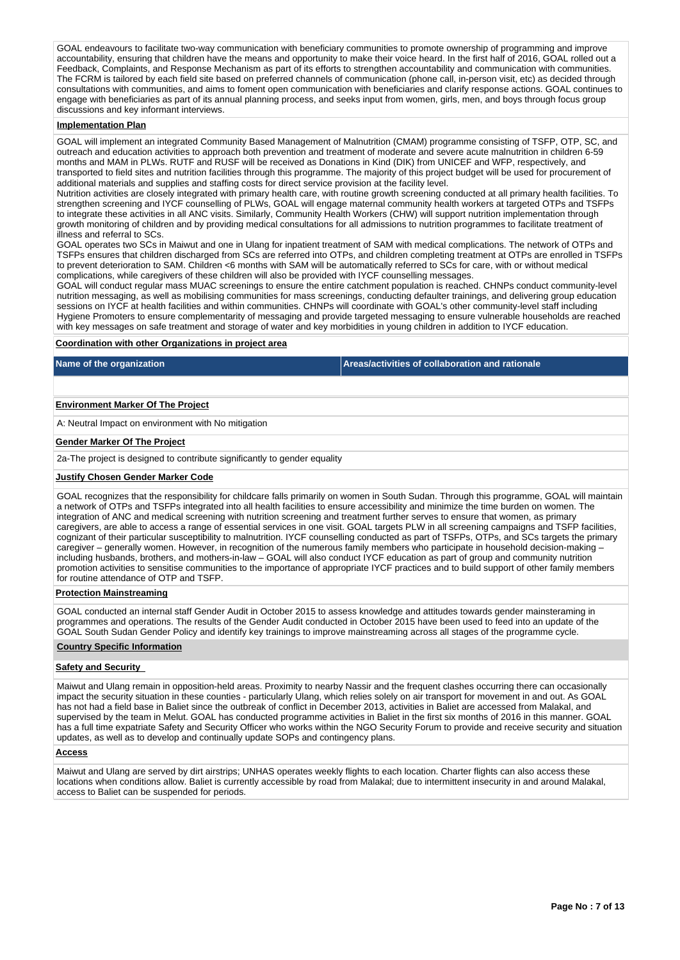GOAL endeavours to facilitate two-way communication with beneficiary communities to promote ownership of programming and improve accountability, ensuring that children have the means and opportunity to make their voice heard. In the first half of 2016, GOAL rolled out a Feedback, Complaints, and Response Mechanism as part of its efforts to strengthen accountability and communication with communities. The FCRM is tailored by each field site based on preferred channels of communication (phone call, in-person visit, etc) as decided through consultations with communities, and aims to foment open communication with beneficiaries and clarify response actions. GOAL continues to engage with beneficiaries as part of its annual planning process, and seeks input from women, girls, men, and boys through focus group discussions and key informant interviews.

#### **Implementation Plan**

GOAL will implement an integrated Community Based Management of Malnutrition (CMAM) programme consisting of TSFP, OTP, SC, and outreach and education activities to approach both prevention and treatment of moderate and severe acute malnutrition in children 6-59 months and MAM in PLWs. RUTF and RUSF will be received as Donations in Kind (DIK) from UNICEF and WFP, respectively, and transported to field sites and nutrition facilities through this programme. The majority of this project budget will be used for procurement of additional materials and supplies and staffing costs for direct service provision at the facility level.

Nutrition activities are closely integrated with primary health care, with routine growth screening conducted at all primary health facilities. To strengthen screening and IYCF counselling of PLWs, GOAL will engage maternal community health workers at targeted OTPs and TSFPs to integrate these activities in all ANC visits. Similarly, Community Health Workers (CHW) will support nutrition implementation through growth monitoring of children and by providing medical consultations for all admissions to nutrition programmes to facilitate treatment of illness and referral to SCs.

GOAL operates two SCs in Maiwut and one in Ulang for inpatient treatment of SAM with medical complications. The network of OTPs and TSFPs ensures that children discharged from SCs are referred into OTPs, and children completing treatment at OTPs are enrolled in TSFPs to prevent deterioration to SAM. Children <6 months with SAM will be automatically referred to SCs for care, with or without medical complications, while caregivers of these children will also be provided with IYCF counselling messages.

GOAL will conduct regular mass MUAC screenings to ensure the entire catchment population is reached. CHNPs conduct community-level nutrition messaging, as well as mobilising communities for mass screenings, conducting defaulter trainings, and delivering group education sessions on IYCF at health facilities and within communities. CHNPs will coordinate with GOAL's other community-level staff including Hygiene Promoters to ensure complementarity of messaging and provide targeted messaging to ensure vulnerable households are reached with key messages on safe treatment and storage of water and key morbidities in young children in addition to IYCF education.

#### **Coordination with other Organizations in project area**

**Name of the organization Areas/activities of collaboration and rationale** 

#### **Environment Marker Of The Project**

A: Neutral Impact on environment with No mitigation

#### **Gender Marker Of The Project**

2a-The project is designed to contribute significantly to gender equality

#### **Justify Chosen Gender Marker Code**

GOAL recognizes that the responsibility for childcare falls primarily on women in South Sudan. Through this programme, GOAL will maintain a network of OTPs and TSFPs integrated into all health facilities to ensure accessibility and minimize the time burden on women. The integration of ANC and medical screening with nutrition screening and treatment further serves to ensure that women, as primary caregivers, are able to access a range of essential services in one visit. GOAL targets PLW in all screening campaigns and TSFP facilities, cognizant of their particular susceptibility to malnutrition. IYCF counselling conducted as part of TSFPs, OTPs, and SCs targets the primary caregiver – generally women. However, in recognition of the numerous family members who participate in household decision-making – including husbands, brothers, and mothers-in-law – GOAL will also conduct IYCF education as part of group and community nutrition promotion activities to sensitise communities to the importance of appropriate IYCF practices and to build support of other family members for routine attendance of OTP and TSFP.

#### **Protection Mainstreaming**

GOAL conducted an internal staff Gender Audit in October 2015 to assess knowledge and attitudes towards gender mainsteraming in programmes and operations. The results of the Gender Audit conducted in October 2015 have been used to feed into an update of the GOAL South Sudan Gender Policy and identify key trainings to improve mainstreaming across all stages of the programme cycle.

#### **Country Specific Information**

#### **Safety and Security**

Maiwut and Ulang remain in opposition-held areas. Proximity to nearby Nassir and the frequent clashes occurring there can occasionally impact the security situation in these counties - particularly Ulang, which relies solely on air transport for movement in and out. As GOAL has not had a field base in Baliet since the outbreak of conflict in December 2013, activities in Baliet are accessed from Malakal, and supervised by the team in Melut. GOAL has conducted programme activities in Baliet in the first six months of 2016 in this manner. GOAL has a full time expatriate Safety and Security Officer who works within the NGO Security Forum to provide and receive security and situation updates, as well as to develop and continually update SOPs and contingency plans.

#### **Access**

Maiwut and Ulang are served by dirt airstrips; UNHAS operates weekly flights to each location. Charter flights can also access these locations when conditions allow. Baliet is currently accessible by road from Malakal; due to intermittent insecurity in and around Malakal, access to Baliet can be suspended for periods.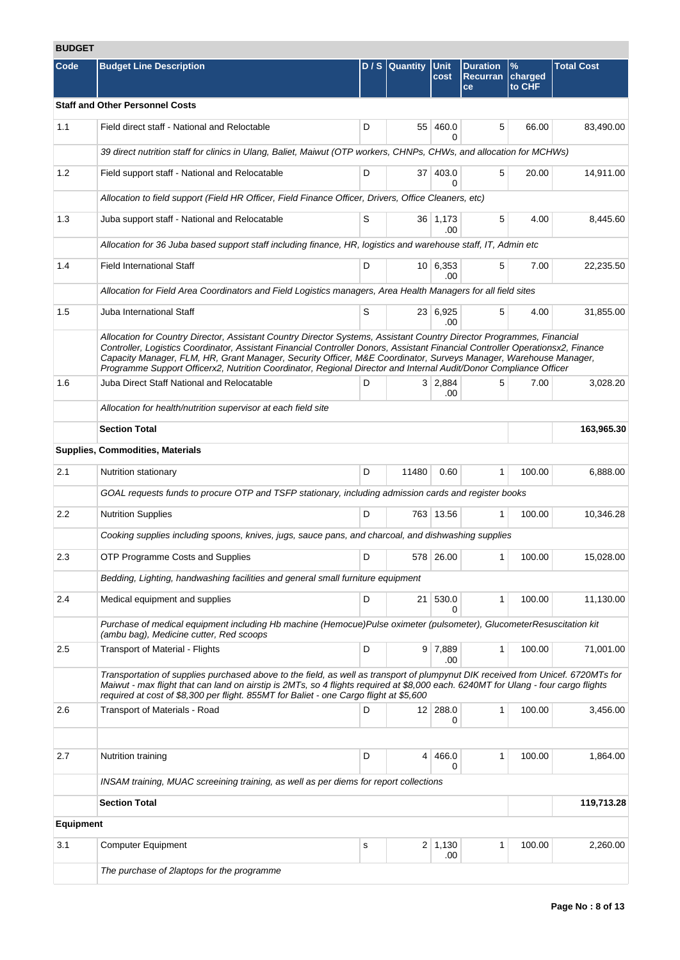# **BUDGET**

| Code             | <b>Budget Line Description</b>                                                                                                                                                                                                                                                                                                                                                                                                                                                                   |   | $D/S$ Quantity | Unit<br>cost           | <b>Duration</b><br><b>Recurran</b><br>ce | $\frac{9}{6}$<br>charged<br>to CHF | <b>Total Cost</b> |  |  |  |
|------------------|--------------------------------------------------------------------------------------------------------------------------------------------------------------------------------------------------------------------------------------------------------------------------------------------------------------------------------------------------------------------------------------------------------------------------------------------------------------------------------------------------|---|----------------|------------------------|------------------------------------------|------------------------------------|-------------------|--|--|--|
|                  | <b>Staff and Other Personnel Costs</b>                                                                                                                                                                                                                                                                                                                                                                                                                                                           |   |                |                        |                                          |                                    |                   |  |  |  |
| 1.1              | Field direct staff - National and Reloctable                                                                                                                                                                                                                                                                                                                                                                                                                                                     | D |                | 55 460.0<br>0          | 5                                        | 66.00                              | 83,490.00         |  |  |  |
|                  | 39 direct nutrition staff for clinics in Ulang, Baliet, Maiwut (OTP workers, CHNPs, CHWs, and allocation for MCHWs)                                                                                                                                                                                                                                                                                                                                                                              |   |                |                        |                                          |                                    |                   |  |  |  |
| 1.2              | Field support staff - National and Relocatable                                                                                                                                                                                                                                                                                                                                                                                                                                                   | D |                | 37 403.0<br>0          | 5                                        | 20.00                              | 14,911.00         |  |  |  |
|                  | Allocation to field support (Field HR Officer, Field Finance Officer, Drivers, Office Cleaners, etc)                                                                                                                                                                                                                                                                                                                                                                                             |   |                |                        |                                          |                                    |                   |  |  |  |
| 1.3              | Juba support staff - National and Relocatable                                                                                                                                                                                                                                                                                                                                                                                                                                                    | S |                | 36 1,173<br>.00        | 5                                        | 4.00                               | 8,445.60          |  |  |  |
|                  | Allocation for 36 Juba based support staff including finance, HR, logistics and warehouse staff, IT, Admin etc                                                                                                                                                                                                                                                                                                                                                                                   |   |                |                        |                                          |                                    |                   |  |  |  |
| 1.4              | <b>Field International Staff</b>                                                                                                                                                                                                                                                                                                                                                                                                                                                                 | D |                | $10 \mid 6,353$<br>.00 | 5                                        | 7.00                               | 22,235.50         |  |  |  |
|                  | Allocation for Field Area Coordinators and Field Logistics managers, Area Health Managers for all field sites                                                                                                                                                                                                                                                                                                                                                                                    |   |                |                        |                                          |                                    |                   |  |  |  |
| 1.5              | Juba International Staff                                                                                                                                                                                                                                                                                                                                                                                                                                                                         | S |                | 23 6,925<br>.00        | 5                                        | 4.00                               | 31,855.00         |  |  |  |
|                  | Allocation for Country Director, Assistant Country Director Systems, Assistant Country Director Programmes, Financial<br>Controller, Logistics Coordinator, Assistant Financial Controller Donors, Assistant Financial Controller Operationsx2, Finance<br>Capacity Manager, FLM, HR, Grant Manager, Security Officer, M&E Coordinator, Surveys Manager, Warehouse Manager,<br>Programme Support Officerx2, Nutrition Coordinator, Regional Director and Internal Audit/Donor Compliance Officer |   |                |                        |                                          |                                    |                   |  |  |  |
| 1.6              | Juba Direct Staff National and Relocatable                                                                                                                                                                                                                                                                                                                                                                                                                                                       | D |                | 3 2,884<br>.00         | 5                                        | 7.00                               | 3,028.20          |  |  |  |
|                  | Allocation for health/nutrition supervisor at each field site                                                                                                                                                                                                                                                                                                                                                                                                                                    |   |                |                        |                                          |                                    |                   |  |  |  |
|                  | <b>Section Total</b>                                                                                                                                                                                                                                                                                                                                                                                                                                                                             |   |                |                        |                                          |                                    | 163,965.30        |  |  |  |
|                  | Supplies, Commodities, Materials                                                                                                                                                                                                                                                                                                                                                                                                                                                                 |   |                |                        |                                          |                                    |                   |  |  |  |
| 2.1              | Nutrition stationary                                                                                                                                                                                                                                                                                                                                                                                                                                                                             | D | 11480          | 0.60                   | $\mathbf{1}$                             | 100.00                             | 6,888.00          |  |  |  |
|                  | GOAL requests funds to procure OTP and TSFP stationary, including admission cards and register books                                                                                                                                                                                                                                                                                                                                                                                             |   |                |                        |                                          |                                    |                   |  |  |  |
| 2.2              | <b>Nutrition Supplies</b>                                                                                                                                                                                                                                                                                                                                                                                                                                                                        | D |                | 763 13.56              | 1                                        | 100.00                             | 10,346.28         |  |  |  |
|                  | Cooking supplies including spoons, knives, jugs, sauce pans, and charcoal, and dishwashing supplies                                                                                                                                                                                                                                                                                                                                                                                              |   |                |                        |                                          |                                    |                   |  |  |  |
| 2.3              | <b>OTP Programme Costs and Supplies</b>                                                                                                                                                                                                                                                                                                                                                                                                                                                          | D |                | 578 26.00              | 1                                        | 100.00                             | 15,028.00         |  |  |  |
|                  | Bedding, Lighting, handwashing facilities and general small furniture equipment                                                                                                                                                                                                                                                                                                                                                                                                                  |   |                |                        |                                          |                                    |                   |  |  |  |
| 2.4              | Medical equipment and supplies                                                                                                                                                                                                                                                                                                                                                                                                                                                                   | D |                | 21 530.0<br>0          | $\mathbf{1}$                             | 100.00                             | 11,130.00         |  |  |  |
|                  | Purchase of medical equipment including Hb machine (Hemocue)Pulse oximeter (pulsometer), GlucometerResuscitation kit<br>(ambu bag), Medicine cutter, Red scoops                                                                                                                                                                                                                                                                                                                                  |   |                |                        |                                          |                                    |                   |  |  |  |
| 2.5              | <b>Transport of Material - Flights</b>                                                                                                                                                                                                                                                                                                                                                                                                                                                           | D |                | $9 \mid 7,889$<br>.00  | $\mathbf{1}$                             | 100.00                             | 71,001.00         |  |  |  |
|                  | Transportation of supplies purchased above to the field, as well as transport of plumpynut DIK received from Unicef. 6720MTs for<br>Maiwut - max flight that can land on airstip is 2MTs, so 4 flights required at \$8,000 each. 6240MT for Ulang - four cargo flights<br>required at cost of \$8,300 per flight. 855MT for Baliet - one Cargo flight at \$5,600                                                                                                                                 |   |                |                        |                                          |                                    |                   |  |  |  |
| 2.6              | <b>Transport of Materials - Road</b>                                                                                                                                                                                                                                                                                                                                                                                                                                                             | D |                | 12 288.0<br>0          | 1                                        | 100.00                             | 3,456.00          |  |  |  |
| 2.7              | Nutrition training                                                                                                                                                                                                                                                                                                                                                                                                                                                                               | D | 4              | 466.0                  | 1                                        | 100.00                             | 1,864.00          |  |  |  |
|                  | INSAM training, MUAC screeining training, as well as per diems for report collections                                                                                                                                                                                                                                                                                                                                                                                                            |   |                | 0                      |                                          |                                    |                   |  |  |  |
|                  | <b>Section Total</b>                                                                                                                                                                                                                                                                                                                                                                                                                                                                             |   |                |                        |                                          |                                    | 119,713.28        |  |  |  |
| <b>Equipment</b> |                                                                                                                                                                                                                                                                                                                                                                                                                                                                                                  |   |                |                        |                                          |                                    |                   |  |  |  |
| 3.1              | <b>Computer Equipment</b>                                                                                                                                                                                                                                                                                                                                                                                                                                                                        | s |                | $2 \mid 1,130$<br>.00  | 1                                        | 100.00                             | 2,260.00          |  |  |  |
|                  | The purchase of 2laptops for the programme                                                                                                                                                                                                                                                                                                                                                                                                                                                       |   |                |                        |                                          |                                    |                   |  |  |  |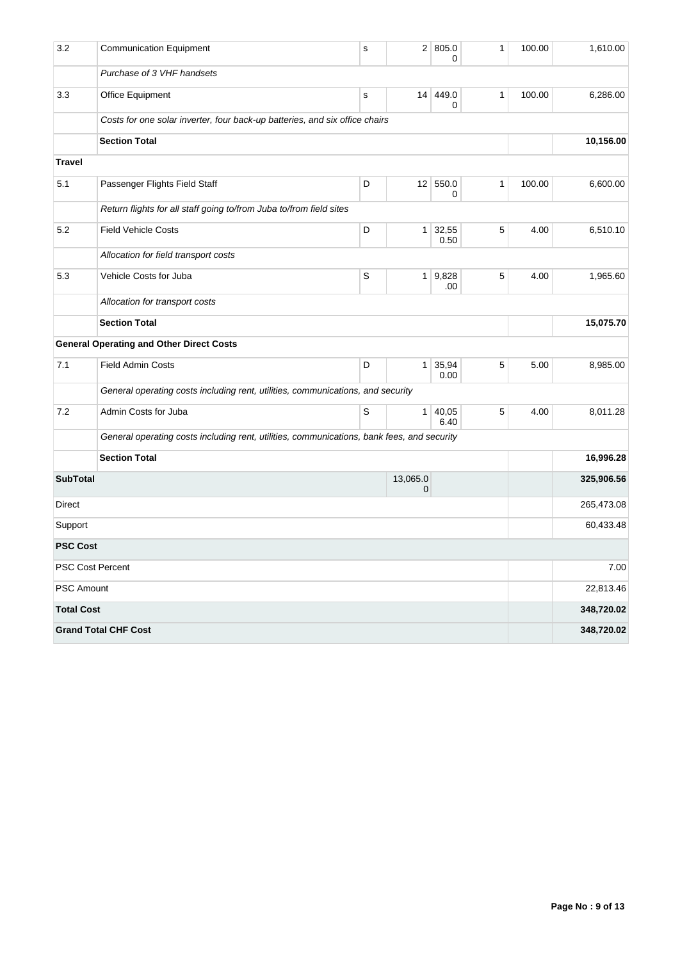| 3.2               | <b>Communication Equipment</b>                                                             | s           | 2 <sup>2</sup>  | 805.0<br>0    | 1            | 100.00 | 1,610.00   |
|-------------------|--------------------------------------------------------------------------------------------|-------------|-----------------|---------------|--------------|--------|------------|
|                   | Purchase of 3 VHF handsets                                                                 |             |                 |               |              |        |            |
| 3.3               | Office Equipment                                                                           | $\mathbf s$ | 14 <sup>1</sup> | 449.0<br>0    | 1            | 100.00 | 6,286.00   |
|                   | Costs for one solar inverter, four back-up batteries, and six office chairs                |             |                 |               |              |        |            |
|                   | <b>Section Total</b>                                                                       |             |                 |               |              |        | 10,156.00  |
| <b>Travel</b>     |                                                                                            |             |                 |               |              |        |            |
| 5.1               | Passenger Flights Field Staff                                                              | D           | 12              | 550.0<br>0    | $\mathbf{1}$ | 100.00 | 6,600.00   |
|                   | Return flights for all staff going to/from Juba to/from field sites                        |             |                 |               |              |        |            |
| 5.2               | <b>Field Vehicle Costs</b>                                                                 | D           | $\mathbf{1}$    | 32,55<br>0.50 | 5            | 4.00   | 6,510.10   |
|                   | Allocation for field transport costs                                                       |             |                 |               |              |        |            |
| 5.3               | Vehicle Costs for Juba                                                                     | S           | $\mathbf{1}$    | 9,828<br>.00  | 5            | 4.00   | 1,965.60   |
|                   | Allocation for transport costs                                                             |             |                 |               |              |        |            |
|                   | <b>Section Total</b>                                                                       |             |                 |               |              |        | 15,075.70  |
|                   | <b>General Operating and Other Direct Costs</b>                                            |             |                 |               |              |        |            |
| 7.1               | <b>Field Admin Costs</b>                                                                   | D           | $\mathbf{1}$    | 35,94<br>0.00 | 5            | 5.00   | 8,985.00   |
|                   | General operating costs including rent, utilities, communications, and security            |             |                 |               |              |        |            |
| 7.2               | Admin Costs for Juba                                                                       | S           | $\mathbf{1}$    | 40,05<br>6.40 | 5            | 4.00   | 8,011.28   |
|                   | General operating costs including rent, utilities, communications, bank fees, and security |             |                 |               |              |        |            |
|                   | <b>Section Total</b>                                                                       |             |                 |               |              |        | 16,996.28  |
| <b>SubTotal</b>   |                                                                                            |             | 13,065.0<br>0   |               |              |        | 325,906.56 |
| Direct            |                                                                                            |             |                 |               |              |        | 265,473.08 |
| Support           |                                                                                            |             |                 |               |              |        | 60,433.48  |
| <b>PSC Cost</b>   |                                                                                            |             |                 |               |              |        |            |
|                   | <b>PSC Cost Percent</b>                                                                    |             |                 |               |              |        | 7.00       |
| PSC Amount        |                                                                                            |             |                 |               |              |        | 22,813.46  |
| <b>Total Cost</b> |                                                                                            |             |                 |               |              |        | 348,720.02 |
|                   | <b>Grand Total CHF Cost</b>                                                                |             |                 |               |              |        | 348,720.02 |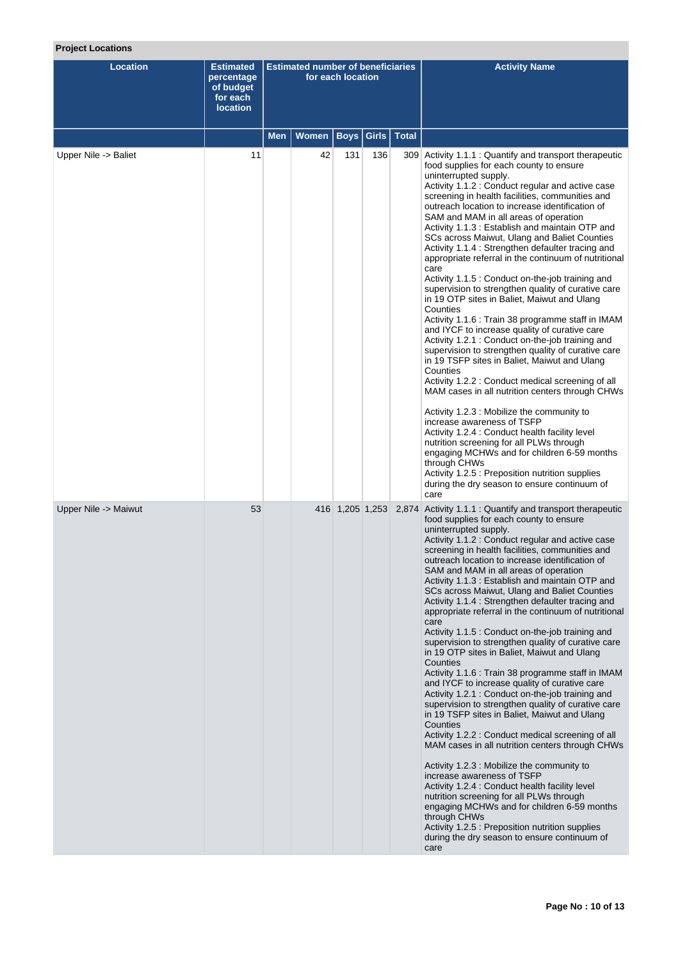## **Project Locations**

| <b>Location</b>      | <b>Estimated</b><br>percentage<br>of budget<br>for each<br><b>location</b> |     | <b>Estimated number of beneficiaries</b> | for each location |       |              | <b>Activity Name</b>                                                                                                                                                                                                                                                                                                                                                                                                                                                                                                                                                                                                                                                                                                                                                                                                                                                                                                                                                                                                                                                                                                                                                                                                                                                                                                                                                                                                                                                  |
|----------------------|----------------------------------------------------------------------------|-----|------------------------------------------|-------------------|-------|--------------|-----------------------------------------------------------------------------------------------------------------------------------------------------------------------------------------------------------------------------------------------------------------------------------------------------------------------------------------------------------------------------------------------------------------------------------------------------------------------------------------------------------------------------------------------------------------------------------------------------------------------------------------------------------------------------------------------------------------------------------------------------------------------------------------------------------------------------------------------------------------------------------------------------------------------------------------------------------------------------------------------------------------------------------------------------------------------------------------------------------------------------------------------------------------------------------------------------------------------------------------------------------------------------------------------------------------------------------------------------------------------------------------------------------------------------------------------------------------------|
|                      |                                                                            | Men | <b>Women</b>                             | <b>Boys</b>       | Girls | <b>Total</b> |                                                                                                                                                                                                                                                                                                                                                                                                                                                                                                                                                                                                                                                                                                                                                                                                                                                                                                                                                                                                                                                                                                                                                                                                                                                                                                                                                                                                                                                                       |
| Upper Nile -> Baliet | 11                                                                         |     | 42                                       | 131               | 136   |              | 309 Activity 1.1.1 : Quantify and transport therapeutic<br>food supplies for each county to ensure<br>uninterrupted supply.<br>Activity 1.1.2 : Conduct regular and active case<br>screening in health facilities, communities and<br>outreach location to increase identification of<br>SAM and MAM in all areas of operation<br>Activity 1.1.3 : Establish and maintain OTP and<br>SCs across Maiwut, Ulang and Baliet Counties<br>Activity 1.1.4 : Strengthen defaulter tracing and<br>appropriate referral in the continuum of nutritional<br>care<br>Activity 1.1.5 : Conduct on-the-job training and<br>supervision to strengthen quality of curative care<br>in 19 OTP sites in Baliet, Maiwut and Ulang<br>Counties<br>Activity 1.1.6 : Train 38 programme staff in IMAM<br>and IYCF to increase quality of curative care<br>Activity 1.2.1 : Conduct on-the-job training and<br>supervision to strengthen quality of curative care<br>in 19 TSFP sites in Baliet, Maiwut and Ulang<br>Counties<br>Activity 1.2.2 : Conduct medical screening of all<br>MAM cases in all nutrition centers through CHWs<br>Activity 1.2.3 : Mobilize the community to<br>increase awareness of TSFP<br>Activity 1.2.4 : Conduct health facility level<br>nutrition screening for all PLWs through<br>engaging MCHWs and for children 6-59 months<br>through CHWs<br>Activity 1.2.5 : Preposition nutrition supplies<br>during the dry season to ensure continuum of<br>care   |
| Upper Nile -> Maiwut | 53                                                                         |     |                                          | 416 1,205 1,253   |       |              | 2,874 Activity 1.1.1 : Quantify and transport therapeutic<br>food supplies for each county to ensure<br>uninterrupted supply.<br>Activity 1.1.2 : Conduct regular and active case<br>screening in health facilities, communities and<br>outreach location to increase identification of<br>SAM and MAM in all areas of operation<br>Activity 1.1.3 : Establish and maintain OTP and<br>SCs across Maiwut, Ulang and Baliet Counties<br>Activity 1.1.4 : Strengthen defaulter tracing and<br>appropriate referral in the continuum of nutritional<br>care<br>Activity 1.1.5 : Conduct on-the-job training and<br>supervision to strengthen quality of curative care<br>in 19 OTP sites in Baliet, Maiwut and Ulang<br>Counties<br>Activity 1.1.6 : Train 38 programme staff in IMAM<br>and IYCF to increase quality of curative care<br>Activity 1.2.1 : Conduct on-the-job training and<br>supervision to strengthen quality of curative care<br>in 19 TSFP sites in Baliet, Maiwut and Ulang<br>Counties<br>Activity 1.2.2 : Conduct medical screening of all<br>MAM cases in all nutrition centers through CHWs<br>Activity 1.2.3 : Mobilize the community to<br>increase awareness of TSFP<br>Activity 1.2.4 : Conduct health facility level<br>nutrition screening for all PLWs through<br>engaging MCHWs and for children 6-59 months<br>through CHWs<br>Activity 1.2.5 : Preposition nutrition supplies<br>during the dry season to ensure continuum of<br>care |